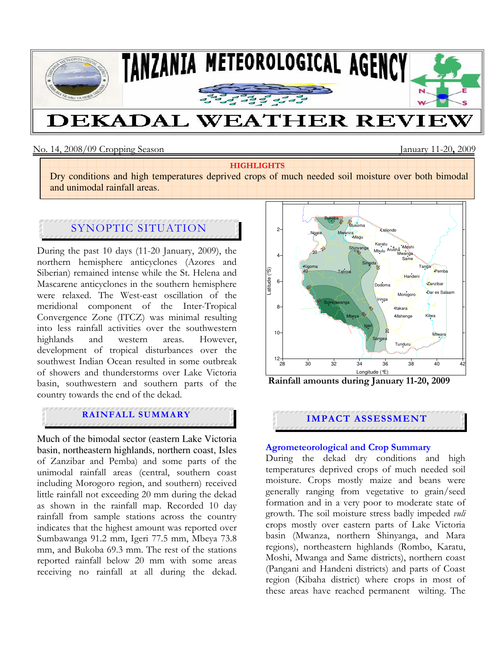

# DEKADAL WEATHER REVIEW

#### No. 14, 2008/09 Cropping Season January 11-20, 2009

#### **HIGHLIGHTS**

Dry conditions and high temperatures deprived crops of much needed soil moisture over both bimodal and unimodal rainfall areas.

# SYNOPTIC SITUATION

During the past 10 days (11-20 January, 2009), the northern hemisphere anticyclones (Azores and Siberian) remained intense while the St. Helena and Mascarene anticyclones in the southern hemisphere were relaxed. The West-east oscillation of the meridional component of the Inter-Tropical Convergence Zone (ITCZ) was minimal resulting into less rainfall activities over the southwestern highlands and western areas. However, development of tropical disturbances over the southwest Indian Ocean resulted in some outbreak of showers and thunderstorms over Lake Victoria basin, southwestern and southern parts of the country towards the end of the dekad.

## **RAINFALL SUMMARY EXPERIMENT RAINFALL SUMMARY**

Much of the bimodal sector (eastern Lake Victoria basin, northeastern highlands, northern coast, Isles of Zanzibar and Pemba) and some parts of the unimodal rainfall areas (central, southern coast including Morogoro region, and southern) received little rainfall not exceeding 20 mm during the dekad as shown in the rainfall map. Recorded 10 day rainfall from sample stations across the country indicates that the highest amount was reported over Sumbawanga 91.2 mm, Igeri 77.5 mm, Mbeya 73.8 mm, and Bukoba 69.3 mm. The rest of the stations reported rainfall below 20 mm with some areas receiving no rainfall at all during the dekad.



Rainfall amounts during January 11-20, 2009

#### Agrometeorological and Crop Summary

During the dekad dry conditions and high temperatures deprived crops of much needed soil moisture. Crops mostly maize and beans were generally ranging from vegetative to grain/seed formation and in a very poor to moderate state of growth. The soil moisture stress badly impeded *vuli* crops mostly over eastern parts of Lake Victoria basin (Mwanza, northern Shinyanga, and Mara regions), northeastern highlands (Rombo, Karatu, Moshi, Mwanga and Same districts), northern coast (Pangani and Handeni districts) and parts of Coast region (Kibaha district) where crops in most of these areas have reached permanent wilting. The